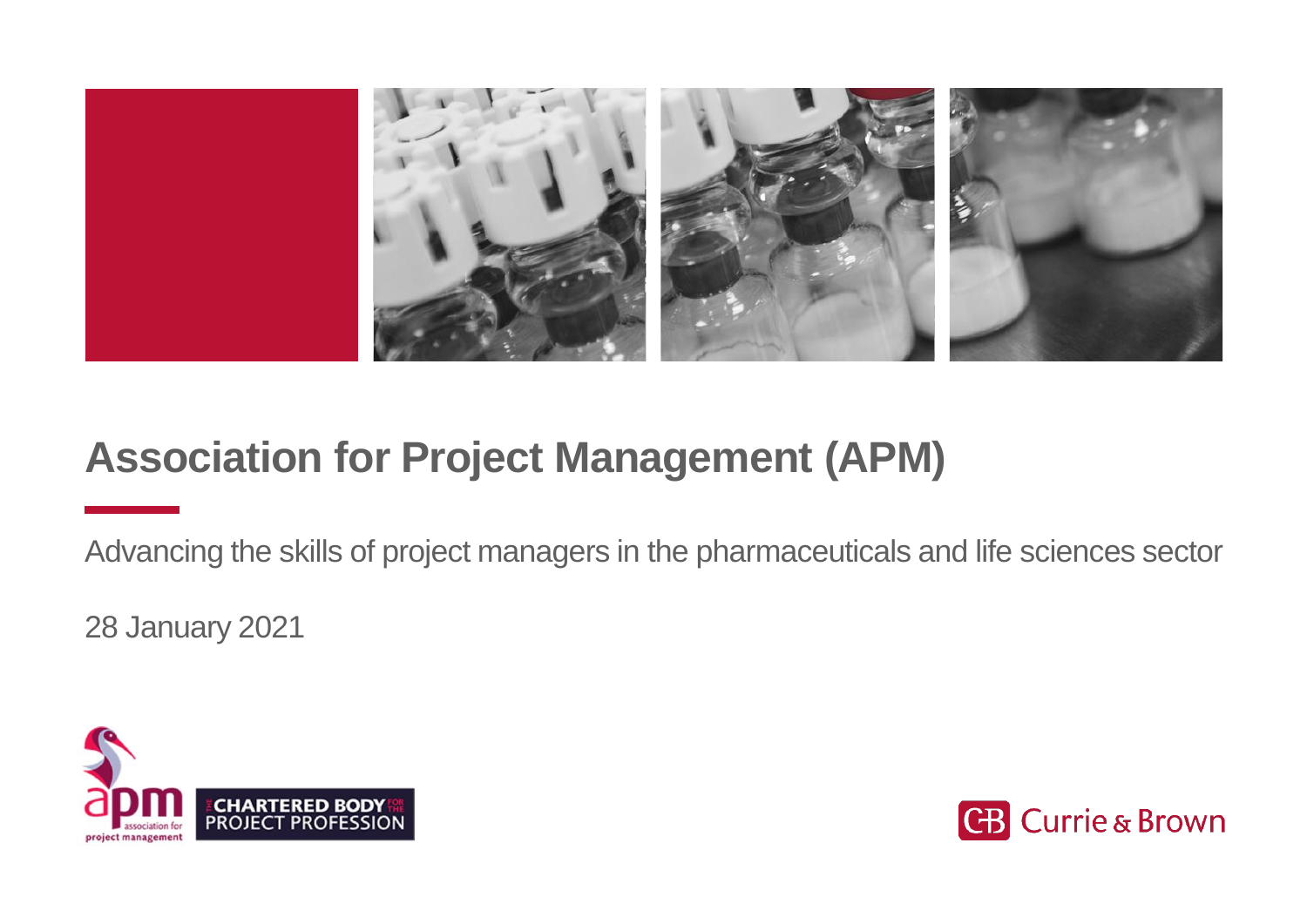

### **Association for Project Management (APM)**

Advancing the skills of project managers in the pharmaceuticals and life sciences sector

28 January 2021



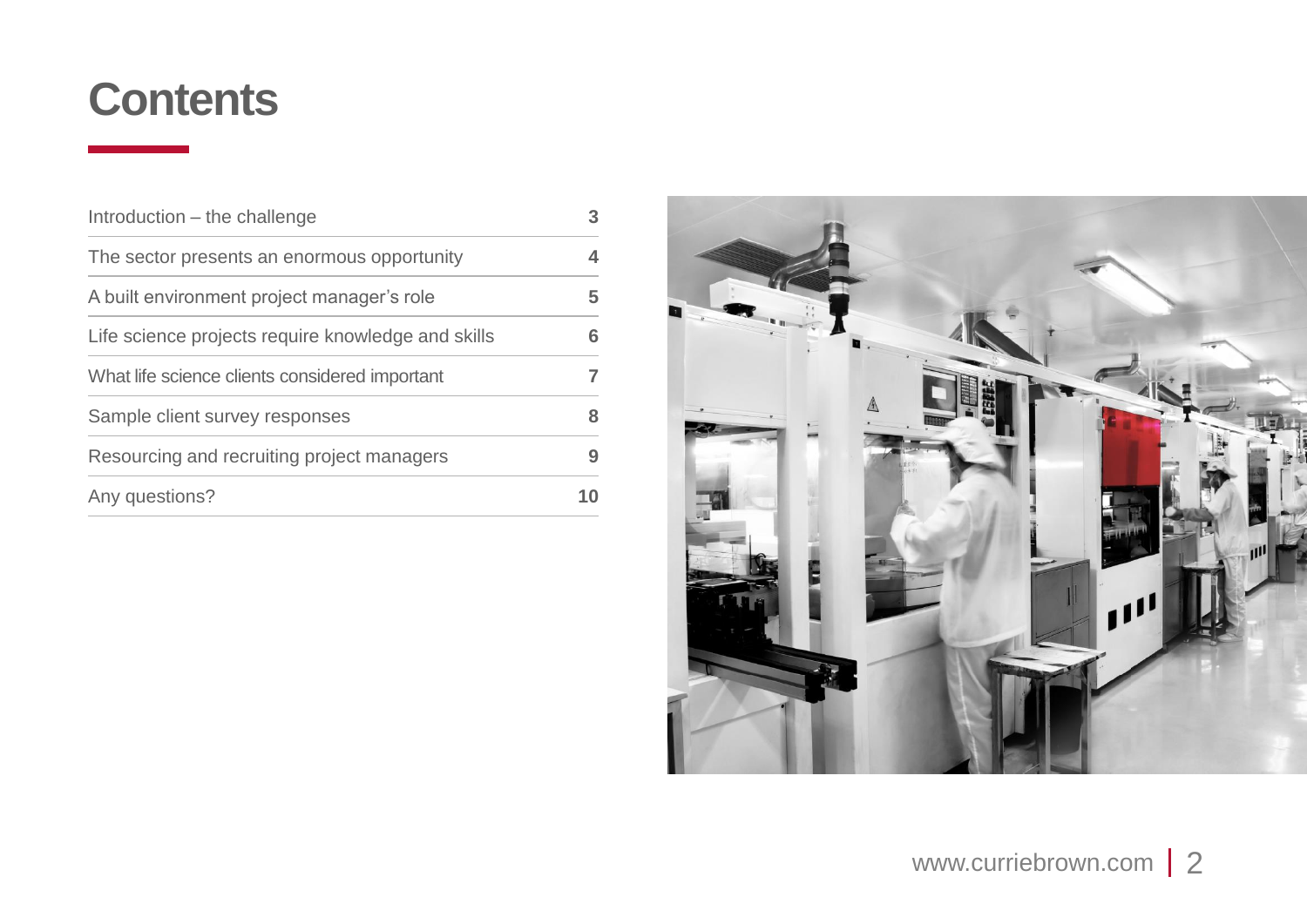### **Contents**

| Introduction – the challenge                       |   |
|----------------------------------------------------|---|
| The sector presents an enormous opportunity        | 4 |
| A built environment project manager's role         | 5 |
| Life science projects require knowledge and skills | 6 |
| What life science clients considered important     |   |
| Sample client survey responses                     |   |
| Resourcing and recruiting project managers         |   |
| Any questions?                                     |   |

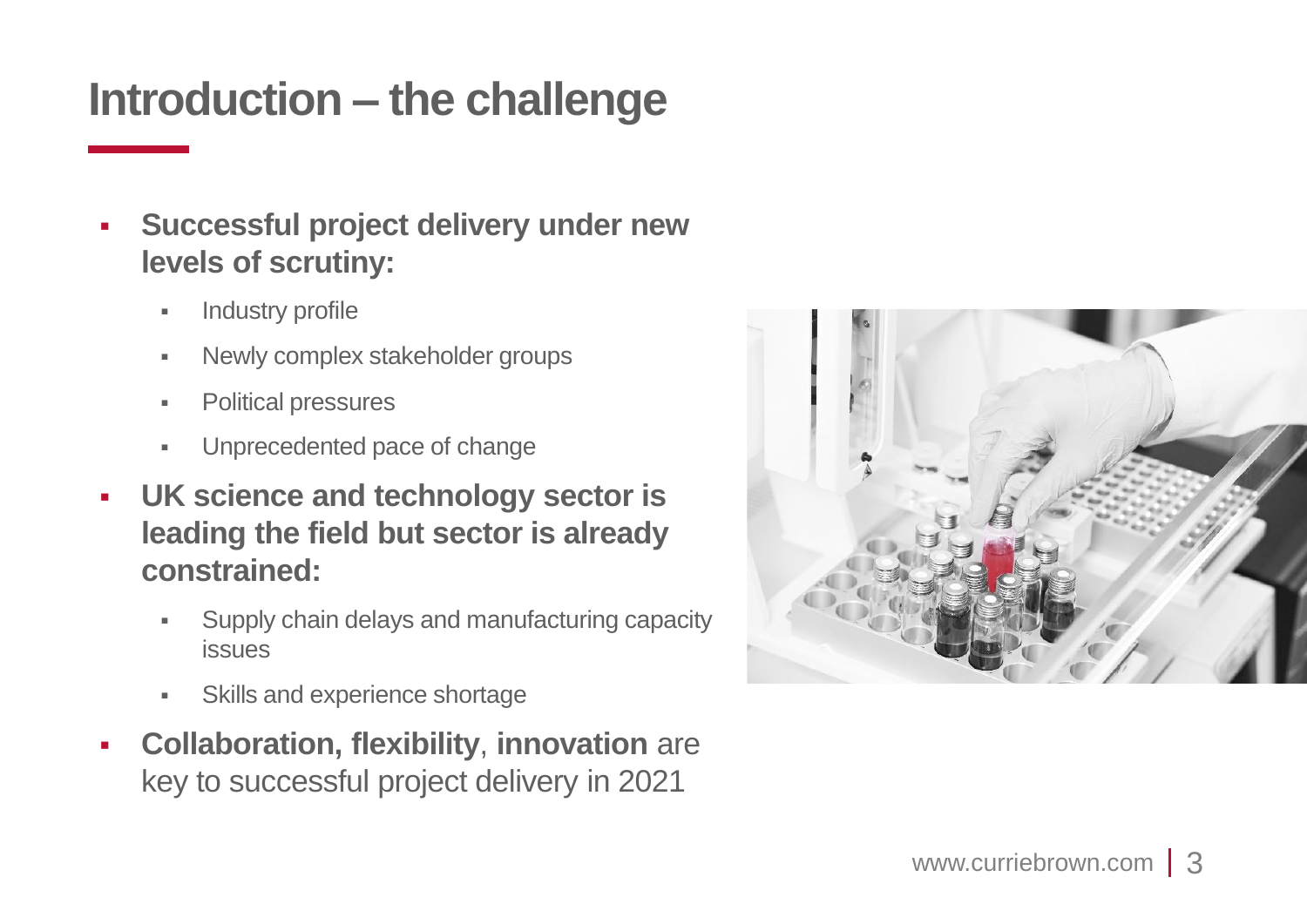## **Introduction – the challenge**

- **Successful project delivery under new levels of scrutiny:**
	- **■** Industry profile
	- Newly complex stakeholder groups
	- Political pressures
	- Unprecedented pace of change
- **UK science and technology sector is leading the field but sector is already constrained:**
	- **Supply chain delays and manufacturing capacity** issues
	- **Skills and experience shortage**
- **Collaboration, flexibility, innovation** are key to successful project delivery in 2021

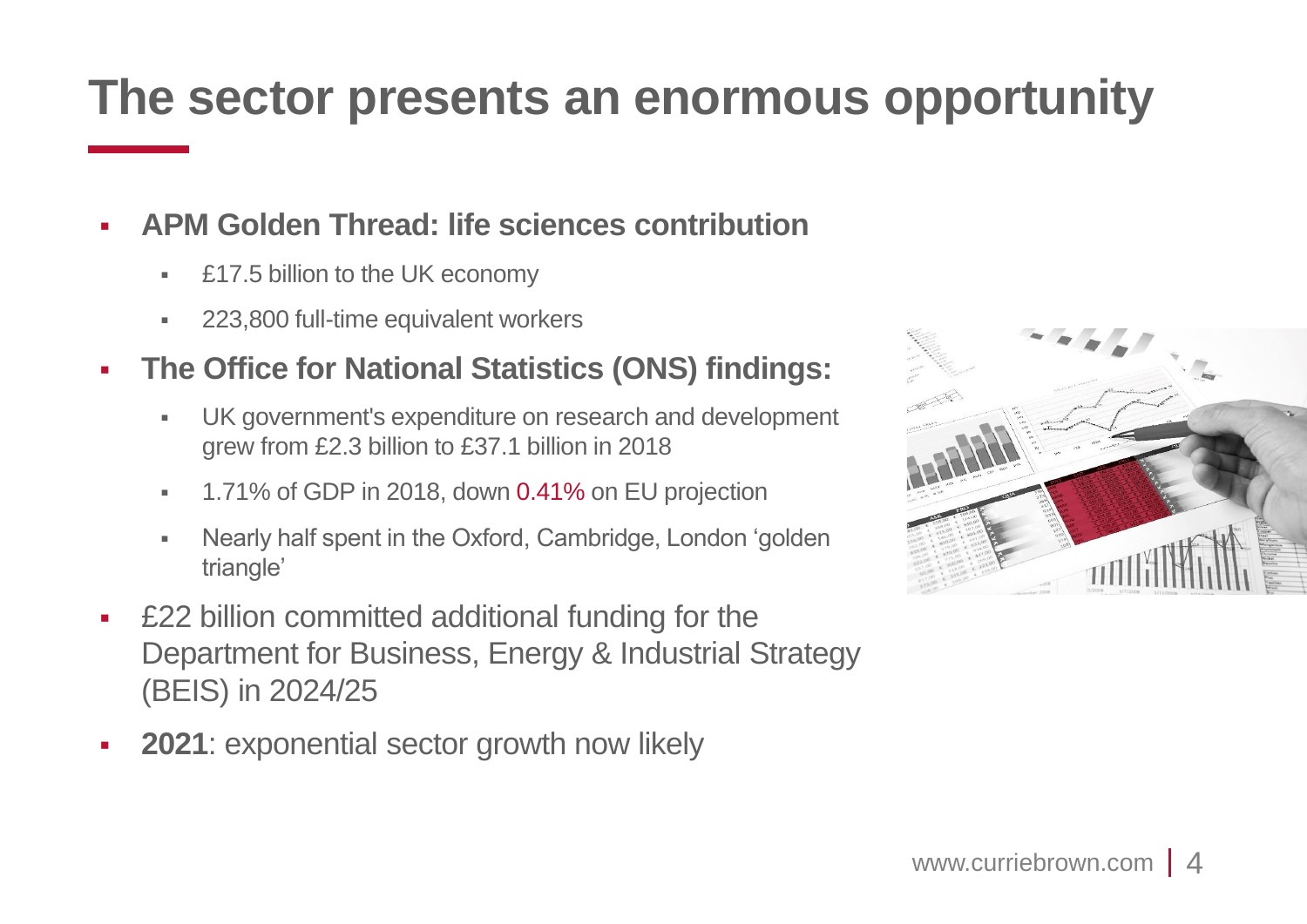## **The sector presents an enormous opportunity**

#### ▪ **APM Golden Thread: life sciences contribution**

- **E17.5 billion to the UK economy**
- **223,800 full-time equivalent workers**

#### ▪ **The Office for National Statistics (ONS) findings:**

- UK government's expenditure on research and development grew from £2.3 billion to £37.1 billion in 2018
- **1.71% of GDP in 2018, down 0.41% on EU projection**
- Nearly half spent in the Oxford, Cambridge, London 'golden triangle'
- **E22 billion committed additional funding for the** Department for Business, Energy & Industrial Strategy (BEIS) in 2024/25
- **2021**: exponential sector growth now likely

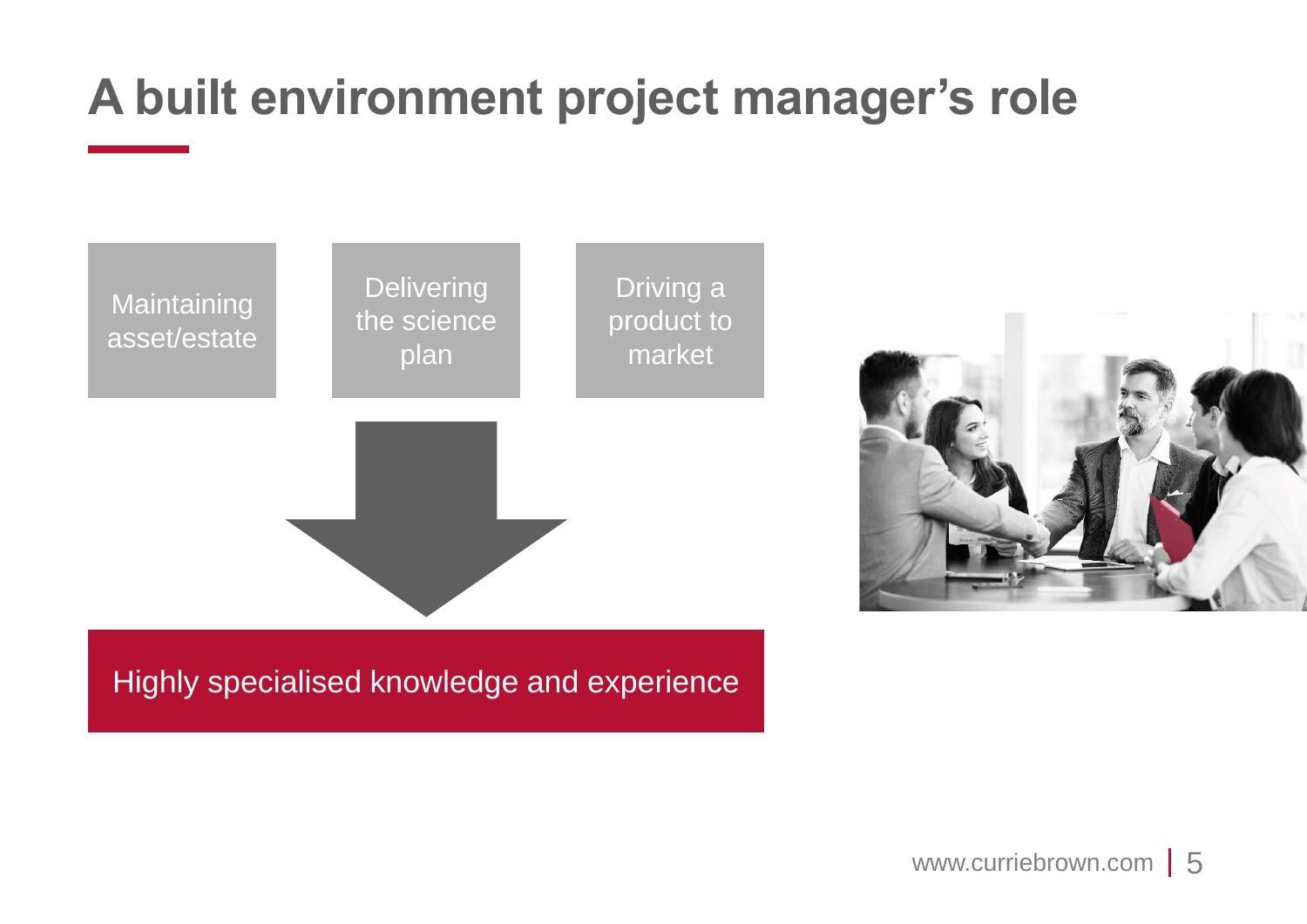# **A built environment project manager's role**



Highly specialised knowledge and experience

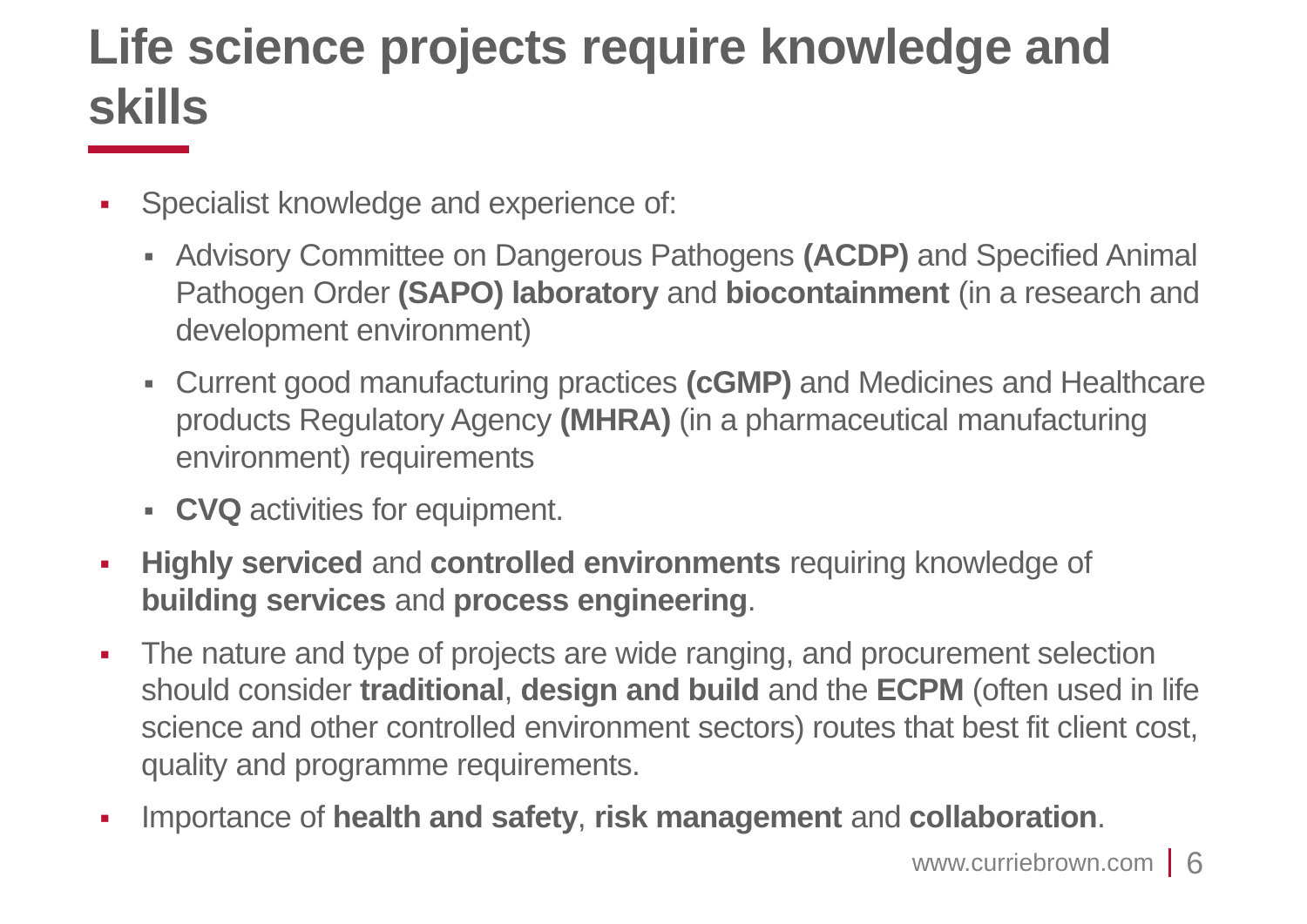# **Life science projects require knowledge and skills**

- Specialist knowledge and experience of:
	- Advisory Committee on Dangerous Pathogens **(ACDP)** and Specified Animal Pathogen Order **(SAPO) laboratory** and **biocontainment** (in a research and development environment)
	- Current good manufacturing practices **(cGMP)** and Medicines and Healthcare products Regulatory Agency **(MHRA)** (in a pharmaceutical manufacturing environment) requirements
	- **CVQ** activities for equipment.
- **Highly serviced** and **controlled environments** requiring knowledge of **building services** and **process engineering**.
- **The nature and type of projects are wide ranging, and procurement selection** should consider **traditional**, **design and build** and the **ECPM** (often used in life science and other controlled environment sectors) routes that best fit client cost, quality and programme requirements.
- Importance of **health and safety**, **risk management** and **collaboration**.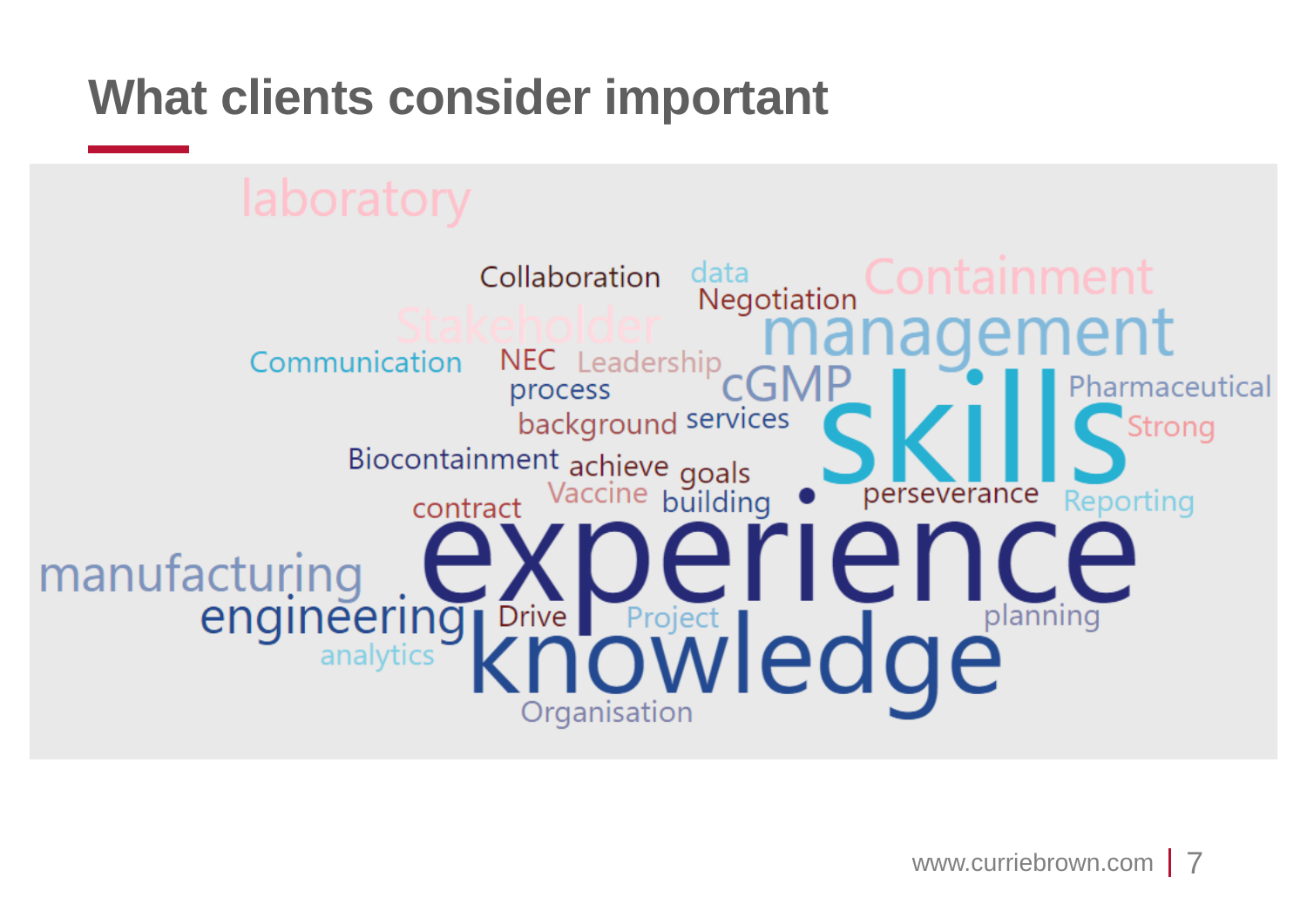# **What clients consider important**

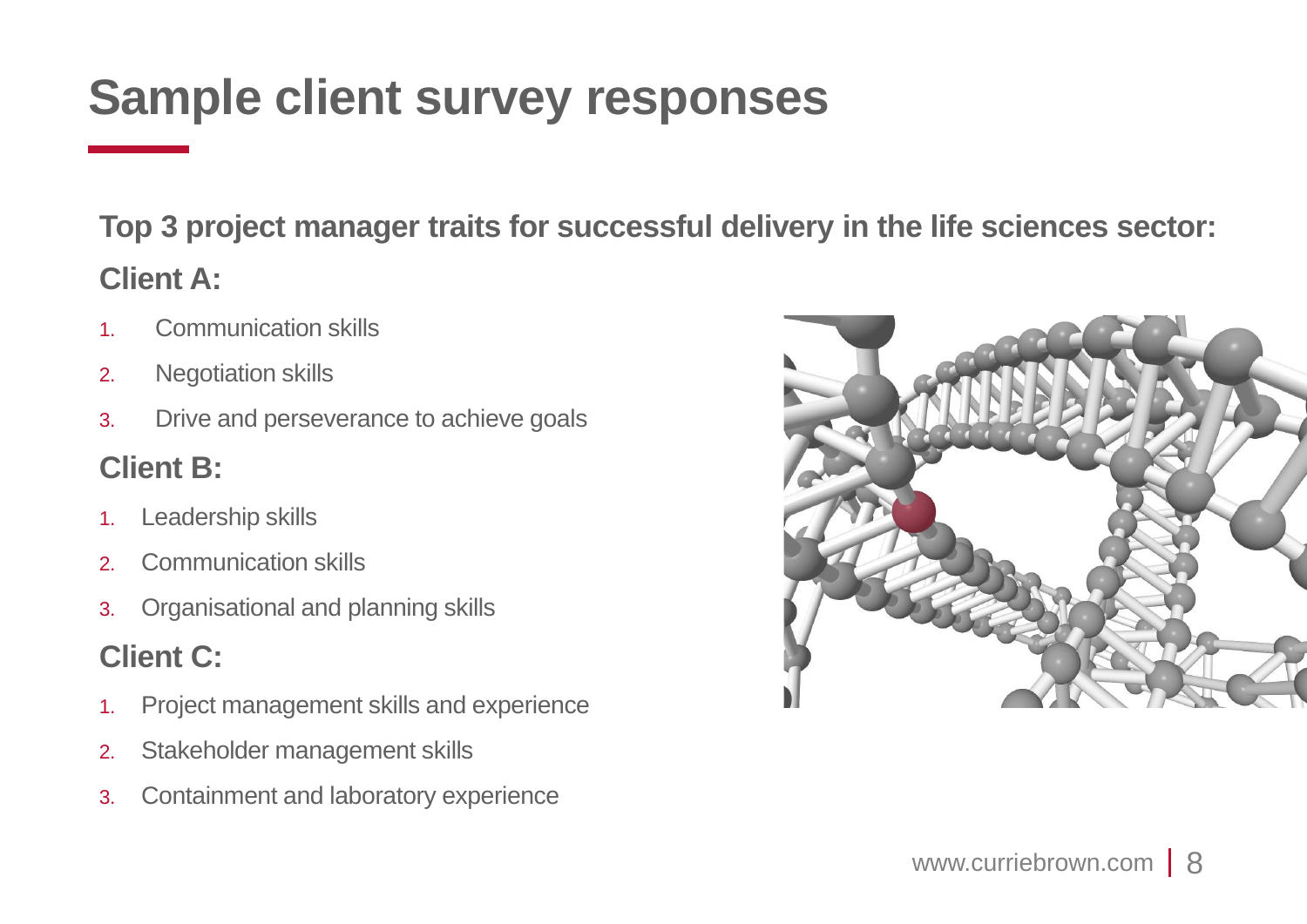# **Sample client survey responses**

**Top 3 project manager traits for successful delivery in the life sciences sector: Client A:** 

- 1. Communication skills
- 2. Negotiation skills
- 3. Drive and perseverance to achieve goals

#### **Client B:**

- 1. Leadership skills
- 2. Communication skills
- 3. Organisational and planning skills

### **Client C:**

- 1. Project management skills and experience
- 2. Stakeholder management skills
- 3. Containment and laboratory experience

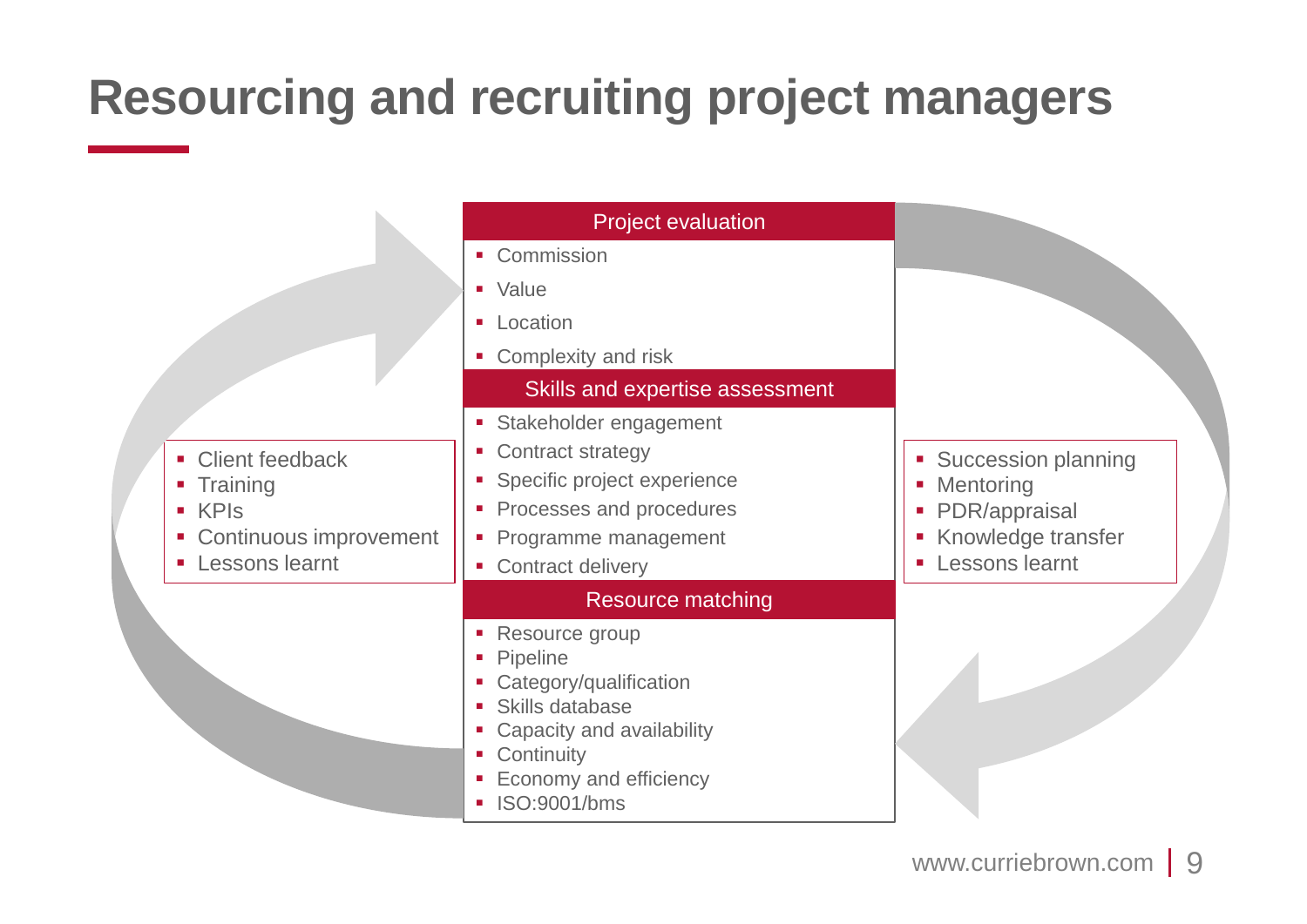# **Resourcing and recruiting project managers**

|                                                                                                                                    | <b>Project evaluation</b><br>• Commission<br>• Value<br>• Location<br>• Complexity and risk                                                                                                                                                 |                                                                                                                                                    |
|------------------------------------------------------------------------------------------------------------------------------------|---------------------------------------------------------------------------------------------------------------------------------------------------------------------------------------------------------------------------------------------|----------------------------------------------------------------------------------------------------------------------------------------------------|
| <b>Client feedback</b><br>$\mathcal{L}_{\mathcal{A}}$<br>• Training<br>■ KPIs<br>• Continuous improvement<br><b>Lessons learnt</b> | Skills and expertise assessment<br>• Stakeholder engagement<br><b>Contract strategy</b><br>a.<br>• Specific project experience<br>• Processes and procedures<br>• Programme management<br>• Contract delivery                               | • Succession planning<br>Mentoring<br>$\blacksquare$<br>PDR/appraisal<br>I.<br>Knowledge transfer<br>Lessons learnt<br>$\mathcal{L}_{\mathcal{A}}$ |
|                                                                                                                                    | <b>Resource matching</b><br>• Resource group<br>Pipeline<br>Category/qualification<br>Skills database<br>Capacity and availability<br>Continuity<br>$\blacksquare$<br>Economy and efficiency<br>ISO:9001/bms<br>$\mathcal{L}_{\mathcal{A}}$ |                                                                                                                                                    |